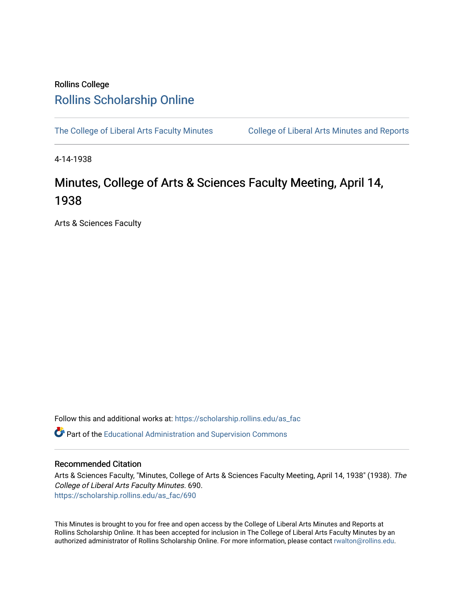## Rollins College [Rollins Scholarship Online](https://scholarship.rollins.edu/)

[The College of Liberal Arts Faculty Minutes](https://scholarship.rollins.edu/as_fac) College of Liberal Arts Minutes and Reports

4-14-1938

# Minutes, College of Arts & Sciences Faculty Meeting, April 14, 1938

Arts & Sciences Faculty

Follow this and additional works at: [https://scholarship.rollins.edu/as\\_fac](https://scholarship.rollins.edu/as_fac?utm_source=scholarship.rollins.edu%2Fas_fac%2F690&utm_medium=PDF&utm_campaign=PDFCoverPages) 

**P** Part of the [Educational Administration and Supervision Commons](http://network.bepress.com/hgg/discipline/787?utm_source=scholarship.rollins.edu%2Fas_fac%2F690&utm_medium=PDF&utm_campaign=PDFCoverPages)

## Recommended Citation

Arts & Sciences Faculty, "Minutes, College of Arts & Sciences Faculty Meeting, April 14, 1938" (1938). The College of Liberal Arts Faculty Minutes. 690. [https://scholarship.rollins.edu/as\\_fac/690](https://scholarship.rollins.edu/as_fac/690?utm_source=scholarship.rollins.edu%2Fas_fac%2F690&utm_medium=PDF&utm_campaign=PDFCoverPages) 

This Minutes is brought to you for free and open access by the College of Liberal Arts Minutes and Reports at Rollins Scholarship Online. It has been accepted for inclusion in The College of Liberal Arts Faculty Minutes by an authorized administrator of Rollins Scholarship Online. For more information, please contact [rwalton@rollins.edu](mailto:rwalton@rollins.edu).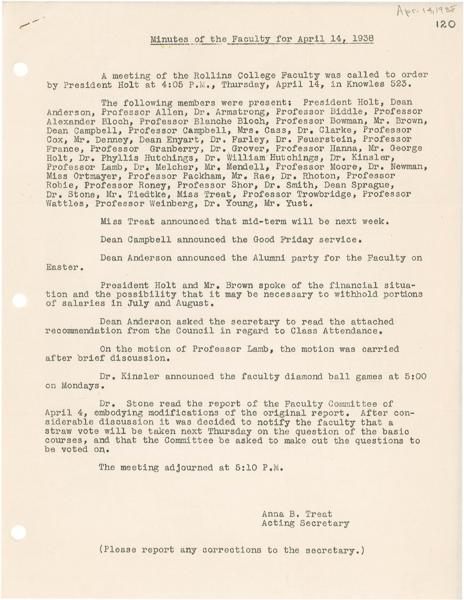### Minutes of the Faculty for April 14, 1938

A meeting of the Rollins College Faculty was called to order by President Holt at 4:05 P.M., Thursday, April 14, in Knowles 523.

 $\frac{1}{2}$ 

The following members were present: President Holt, Dean anderson, Professor Allen, Dr. Armstrong, Professor Biddle, Professor Alexander Bloch, Professor Blanche Bloch, Professor Bowman, Mr. Brown, Dean Campbell, Professor Campbell, Mrs. Cass, Dr. Clarke, Professor Cox, Mr. Denney, Dean Enyart, Dr. Farley, Dr. Feuerstein, Professor France, Professor Granberry, Dr. Grover, Professor Hanna, Mr. George Holt, Dr. Phyllis Hutchings, Dr. William Hutchings, Dr. Kinsler, Professor Lamb, Dr. Melcher, Mr. Mendell, Professor Moore, Dr. Newman, Miss Ortmayer, Professor Packham, Mr. Rae, Dr. Rhoton, Professor Robie, Professor Roney, Professor Shor, Dr. Smith, Dean Sprague, Dr. Stone, Mr. Tiedtke, Miss Treat, Professor Trowbridge, Professor Wattles, Professor Weinberg, Dr. Young, Mr. Yust.

Miss Treat announced that mid-term will be next week.

Dean Campbell announced the Good Friday service.

Dean Anderson announced the Alumni party for the Faculty on Easter.

President Holt and Mr. Brown spoke of the financial situation and the possibility that it may be necessary to withhold portions of salaries in July and August.

Dean Anderson asked the secretary to read the attached recommendation from the Council in regard to Class Attendance.

On the motion of Professor Lamb, the motion was carried after brief discussion.

Dr. Kinsler announced the faculty diamond ball games at 5:00 on Mondays.

Dr. Stone read the report of the Faculty Committee of April 4, embodying modifications of the original report. After considerable discussion it was decided to notify the faculty that a straw vote will be taken next Thursday on the question of the basic courses, and that the Committee be asked to make out the questions to be voted on.

The meeting adjourned at 5:10 P.M.

Anna B. Treat Acting Secretary

(Please report any corrections to the secretary.)

120

Apr. 14, 1938